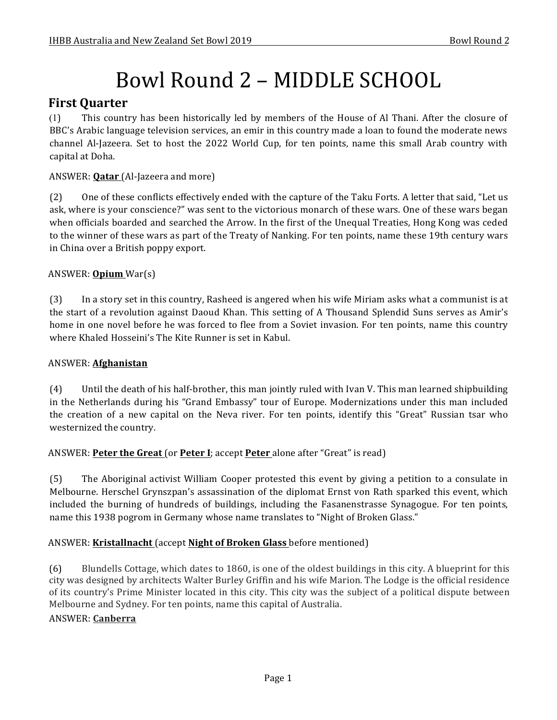# Bowl Round 2 – MIDDLE SCHOOL

# **First Quarter**

(1) This country has been historically led by members of the House of Al Thani. After the closure of BBC's Arabic language television services, an emir in this country made a loan to found the moderate news channel Al-Jazeera. Set to host the 2022 World Cup, for ten points, name this small Arab country with capital at Doha.

## ANSWER: **Qatar** (Al-Jazeera and more)

(2) One of these conflicts effectively ended with the capture of the Taku Forts. A letter that said, "Let us ask, where is your conscience?" was sent to the victorious monarch of these wars. One of these wars began when officials boarded and searched the Arrow. In the first of the Unequal Treaties, Hong Kong was ceded to the winner of these wars as part of the Treaty of Nanking. For ten points, name these 19th century wars in China over a British poppy export.

# ANSWER: **Opium** War(s)

(3) In a story set in this country, Rasheed is angered when his wife Miriam asks what a communist is at the start of a revolution against Daoud Khan. This setting of A Thousand Splendid Suns serves as Amir's home in one novel before he was forced to flee from a Soviet invasion. For ten points, name this country where Khaled Hosseini's The Kite Runner is set in Kabul.

## ANSWER: **Afghanistan**

(4) Until the death of his half-brother, this man jointly ruled with Ivan V. This man learned shipbuilding in the Netherlands during his "Grand Embassy" tour of Europe. Modernizations under this man included the creation of a new capital on the Neva river. For ten points, identify this "Great" Russian tsar who westernized the country.

## ANSWER: **Peter the Great** (or **Peter I**; accept **Peter** alone after "Great" is read)

(5) The Aboriginal activist William Cooper protested this event by giving a petition to a consulate in Melbourne. Herschel Grynszpan's assassination of the diplomat Ernst von Rath sparked this event, which included the burning of hundreds of buildings, including the Fasanenstrasse Synagogue. For ten points, name this 1938 pogrom in Germany whose name translates to "Night of Broken Glass."

## ANSWER: **Kristallnacht** (accept **Night of Broken Glass** before mentioned)

(6) Blundells Cottage, which dates to 1860, is one of the oldest buildings in this city. A blueprint for this city was designed by architects Walter Burley Griffin and his wife Marion. The Lodge is the official residence of its country's Prime Minister located in this city. This city was the subject of a political dispute between Melbourne and Sydney. For ten points, name this capital of Australia.

## ANSWER: **Canberra**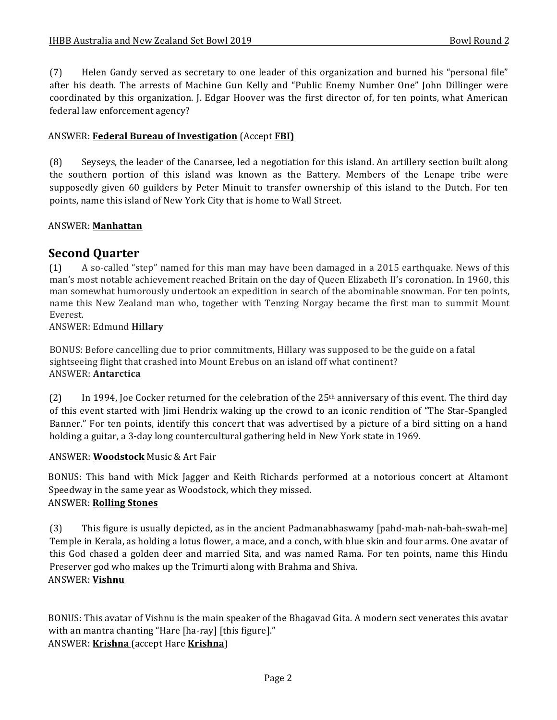(7) Helen Gandy served as secretary to one leader of this organization and burned his "personal file" after his death. The arrests of Machine Gun Kelly and "Public Enemy Number One" John Dillinger were coordinated by this organization. I. Edgar Hoover was the first director of, for ten points, what American federal law enforcement agency?

## ANSWER: **Federal Bureau of Investigation** (Accept **FBI)**

(8) Seyseys, the leader of the Canarsee, led a negotiation for this island. An artillery section built along the southern portion of this island was known as the Battery. Members of the Lenape tribe were supposedly given 60 guilders by Peter Minuit to transfer ownership of this island to the Dutch. For ten points, name this island of New York City that is home to Wall Street.

#### ANSWER: **Manhattan**

# **Second Quarter**

(1) A so-called "step" named for this man may have been damaged in a 2015 earthquake. News of this man's most notable achievement reached Britain on the day of Queen Elizabeth II's coronation. In 1960, this man somewhat humorously undertook an expedition in search of the abominable snowman. For ten points, name this New Zealand man who, together with Tenzing Norgay became the first man to summit Mount Everest.

ANSWER: Edmund **Hillary**

BONUS: Before cancelling due to prior commitments, Hillary was supposed to be the guide on a fatal sightseeing flight that crashed into Mount Erebus on an island off what continent? ANSWER: **Antarctica**

(2) In 1994, Joe Cocker returned for the celebration of the  $25<sup>th</sup>$  anniversary of this event. The third day of this event started with Jimi Hendrix waking up the crowd to an iconic rendition of "The Star-Spangled" Banner." For ten points, identify this concert that was advertised by a picture of a bird sitting on a hand holding a guitar, a 3-day long countercultural gathering held in New York state in 1969.

#### ANSWER: **Woodstock** Music & Art Fair

BONUS: This band with Mick Jagger and Keith Richards performed at a notorious concert at Altamont Speedway in the same year as Woodstock, which they missed. ANSWER: **Rolling Stones**

(3) This figure is usually depicted, as in the ancient Padmanabhaswamy [pahd-mah-nah-bah-swah-me] Temple in Kerala, as holding a lotus flower, a mace, and a conch, with blue skin and four arms. One avatar of this God chased a golden deer and married Sita, and was named Rama. For ten points, name this Hindu Preserver god who makes up the Trimurti along with Brahma and Shiva. ANSWER: **Vishnu**

BONUS: This avatar of Vishnu is the main speaker of the Bhagavad Gita. A modern sect venerates this avatar with an mantra chanting "Hare [ha-ray] [this figure]." ANSWER: **Krishna** (accept Hare **Krishna**)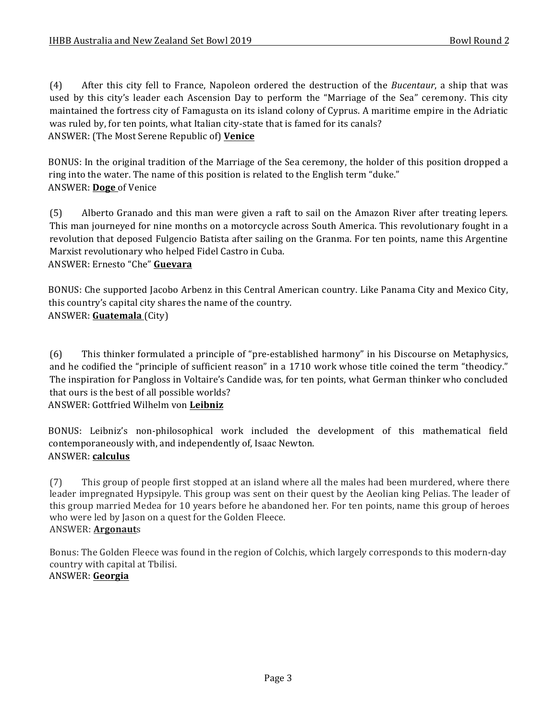(4) After this city fell to France, Napoleon ordered the destruction of the *Bucentaur*, a ship that was used by this city's leader each Ascension Day to perform the "Marriage of the Sea" ceremony. This city maintained the fortress city of Famagusta on its island colony of Cyprus. A maritime empire in the Adriatic was ruled by, for ten points, what Italian city-state that is famed for its canals? ANSWER: (The Most Serene Republic of) Venice

BONUS: In the original tradition of the Marriage of the Sea ceremony, the holder of this position dropped a ring into the water. The name of this position is related to the English term "duke." ANSWER: Doge of Venice

(5) Alberto Granado and this man were given a raft to sail on the Amazon River after treating lepers. This man journeyed for nine months on a motorcycle across South America. This revolutionary fought in a revolution that deposed Fulgencio Batista after sailing on the Granma. For ten points, name this Argentine Marxist revolutionary who helped Fidel Castro in Cuba. ANSWER: Ernesto "Che" Guevara

BONUS: Che supported Jacobo Arbenz in this Central American country. Like Panama City and Mexico City, this country's capital city shares the name of the country. ANSWER: **Guatemala** (City)

(6) This thinker formulated a principle of "pre-established harmony" in his Discourse on Metaphysics, and he codified the "principle of sufficient reason" in a 1710 work whose title coined the term "theodicy." The inspiration for Pangloss in Voltaire's Candide was, for ten points, what German thinker who concluded that ours is the best of all possible worlds? ANSWER: Gottfried Wilhelm von **Leibniz**

BONUS: Leibniz's non-philosophical work included the development of this mathematical field contemporaneously with, and independently of, Isaac Newton. ANSWER: **calculus**

(7) This group of people first stopped at an island where all the males had been murdered, where there leader impregnated Hypsipyle. This group was sent on their quest by the Aeolian king Pelias. The leader of this group married Medea for 10 years before he abandoned her. For ten points, name this group of heroes who were led by Jason on a quest for the Golden Fleece. ANSWER: **Argonaut**s

Bonus: The Golden Fleece was found in the region of Colchis, which largely corresponds to this modern-day country with capital at Tbilisi. ANSWER: **Georgia**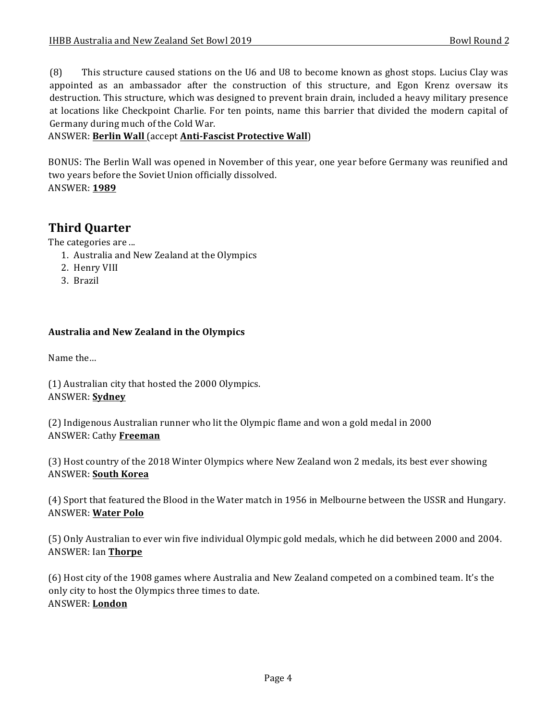(8) This structure caused stations on the U6 and U8 to become known as ghost stops. Lucius Clay was appointed as an ambassador after the construction of this structure, and Egon Krenz oversaw its destruction. This structure, which was designed to prevent brain drain, included a heavy military presence at locations like Checkpoint Charlie. For ten points, name this barrier that divided the modern capital of Germany during much of the Cold War.

## ANSWER: **Berlin Wall** (accept **Anti-Fascist Protective Wall**)

BONUS: The Berlin Wall was opened in November of this year, one year before Germany was reunified and two years before the Soviet Union officially dissolved. ANSWER: **1989**

# **Third Quarter**

The categories are ...

- 1. Australia and New Zealand at the Olympics
- 2. Henry VIII
- 3. Brazil

## **Australia and New Zealand in the Olympics**

Name the...

(1) Australian city that hosted the 2000 Olympics. ANSWER: **Sydney**

(2) Indigenous Australian runner who lit the Olympic flame and won a gold medal in 2000 ANSWER: Cathy **Freeman**

(3) Host country of the 2018 Winter Olympics where New Zealand won 2 medals, its best ever showing **ANSWER: South Korea** 

(4) Sport that featured the Blood in the Water match in 1956 in Melbourne between the USSR and Hungary. ANSWER: **Water Polo**

(5) Only Australian to ever win five individual Olympic gold medals, which he did between 2000 and 2004. ANSWER: Ian **Thorpe**

(6) Host city of the 1908 games where Australia and New Zealand competed on a combined team. It's the only city to host the Olympics three times to date. ANSWER: **London**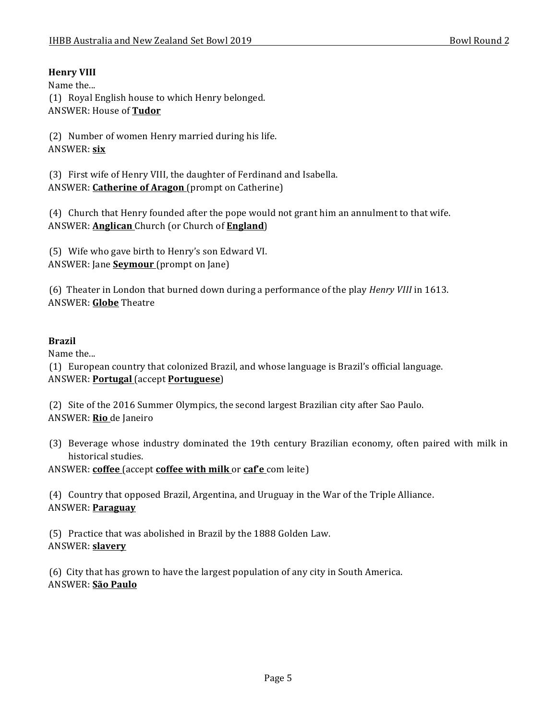# **Henry VIII**

Name the... (1) Royal English house to which Henry belonged. ANSWER: House of **Tudor**

(2) Number of women Henry married during his life. ANSWER: **six**

(3) First wife of Henry VIII, the daughter of Ferdinand and Isabella. ANSWER: **Catherine of Aragon** (prompt on Catherine)

(4) Church that Henry founded after the pope would not grant him an annulment to that wife. ANSWER: **Anglican** Church (or Church of **England**)

(5) Wife who gave birth to Henry's son Edward VI. ANSWER: Jane **Seymour** (prompt on Jane)

(6) Theater in London that burned down during a performance of the play *Henry VIII* in 1613. ANSWER: **Globe** Theatre

## **Brazil**

Name the...

(1) European country that colonized Brazil, and whose language is Brazil's official language. ANSWER: **Portugal** (accept **Portuguese**)

(2) Site of the 2016 Summer Olympics, the second largest Brazilian city after Sao Paulo. ANSWER: **Rio** de Janeiro

(3) Beverage whose industry dominated the 19th century Brazilian economy, often paired with milk in historical studies.

ANSWER: **coffee** (accept **coffee with milk** or **caf'e** com leite)

(4) Country that opposed Brazil, Argentina, and Uruguay in the War of the Triple Alliance. ANSWER: **Paraguay**

(5) Practice that was abolished in Brazil by the 1888 Golden Law. ANSWER: **slavery**

(6) City that has grown to have the largest population of any city in South America. ANSWER: **São Paulo**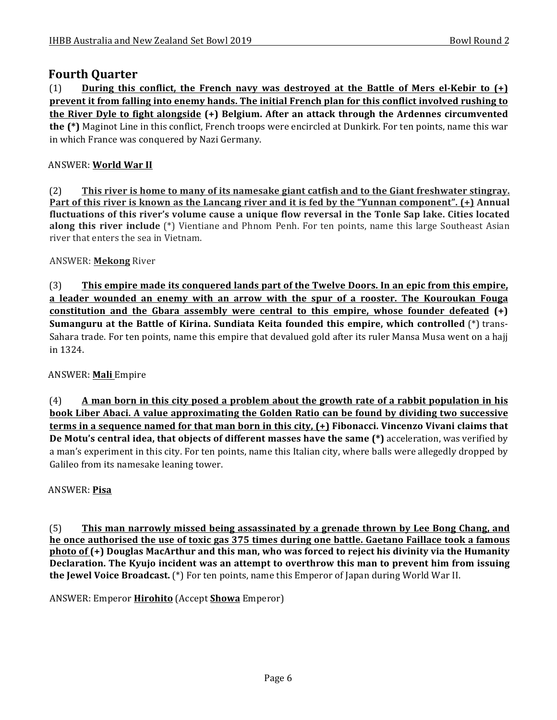# **Fourth Quarter**

 $(1)$  **During this conflict, the French navy was destroyed at the Battle of Mers el-Kebir to**  $(+)$ **prevent it from falling into enemy hands. The initial French plan for this conflict involved rushing to the River Dyle to fight alongside (+) Belgium. After an attack through the Ardennes circumvented the** (\*) Maginot Line in this conflict, French troops were encircled at Dunkirk. For ten points, name this war in which France was conquered by Nazi Germany.

## ANSWER: **World War II**

(2) This river is home to many of its namesake giant catfish and to the Giant freshwater stingray. **Part of this river is known as the Lancang river and it is fed by the "Yunnan component". (+) Annual** fluctuations of this river's volume cause a unique flow reversal in the Tonle Sap lake. Cities located **along this river include** (\*) Vientiane and Phnom Penh. For ten points, name this large Southeast Asian river that enters the sea in Vietnam.

## ANSWER: **Mekong** River

(3) **This empire made its conquered lands part of the Twelve Doors. In an epic from this empire, <u>a leader wounded an enemy with an arrow with the spur of a rooster. The Kouroukan Fouga</u> constitution and the Gbara assembly were central to this empire, whose founder defeated**  $(+)$ **Sumanguru at the Battle of Kirina. Sundiata Keita founded this empire, which controlled** (\*) trans-Sahara trade. For ten points, name this empire that devalued gold after its ruler Mansa Musa went on a hajj in 1324.

## ANSWER: **Mali** Empire

(4) **A** man born in this city posed a problem about the growth rate of a rabbit population in his **book Liber Abaci. A value approximating the Golden Ratio can be found by dividing two successive terms in a sequence named for that man born in this city, (+) Fibonacci. Vincenzo Vivani claims that De Motu's central idea, that objects of different masses have the same (\*)** acceleration, was verified by a man's experiment in this city. For ten points, name this Italian city, where balls were allegedly dropped by Galileo from its namesake leaning tower.

## ANSWER: **Pisa**

(5) **This man narrowly missed being assassinated by a grenade thrown by Lee Bong Chang, and he once authorised the use of toxic gas 375 times during one battle. Gaetano Faillace took a famous photo of (+)** Douglas MacArthur and this man, who was forced to reject his divinity via the Humanity **Declaration.** The Kyujo incident was an attempt to overthrow this man to prevent him from issuing **the Jewel Voice Broadcast.** (\*) For ten points, name this Emperor of Japan during World War II.

ANSWER: Emperor **Hirohito** (Accept **Showa** Emperor)